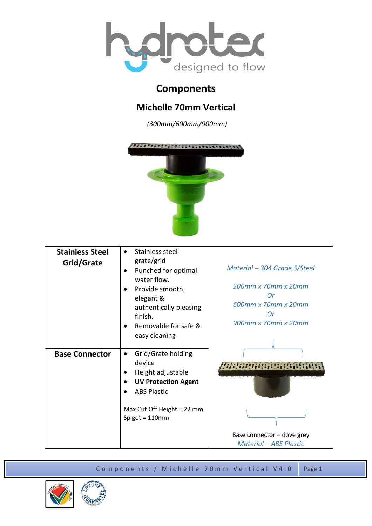

## **Components**

## **Michelle 70mm Vertical**

*(300mm/600mm/900mm)*



| <b>Stainless Steel</b><br>Grid/Grate | Stainless steel<br>$\bullet$<br>grate/grid<br>Punched for optimal<br>water flow.<br>Provide smooth,<br>elegant &<br>authentically pleasing<br>finish.<br>Removable for safe &<br>easy cleaning | Material – 304 Grade S/Steel<br>300mm x 70mm x 20mm<br><b>Or</b><br>600mm x 70mm x 20mm<br>Or<br>900mm x 70mm x 20mm |
|--------------------------------------|------------------------------------------------------------------------------------------------------------------------------------------------------------------------------------------------|----------------------------------------------------------------------------------------------------------------------|
| <b>Base Connector</b>                | Grid/Grate holding<br>$\bullet$<br>device<br>Height adjustable<br><b>UV Protection Agent</b><br><b>ABS Plastic</b><br>Max Cut Off Height = 22 mm<br>Spigot = $110$ mm                          | Base connector - dove grey<br><b>Material - ABS Plastic</b>                                                          |